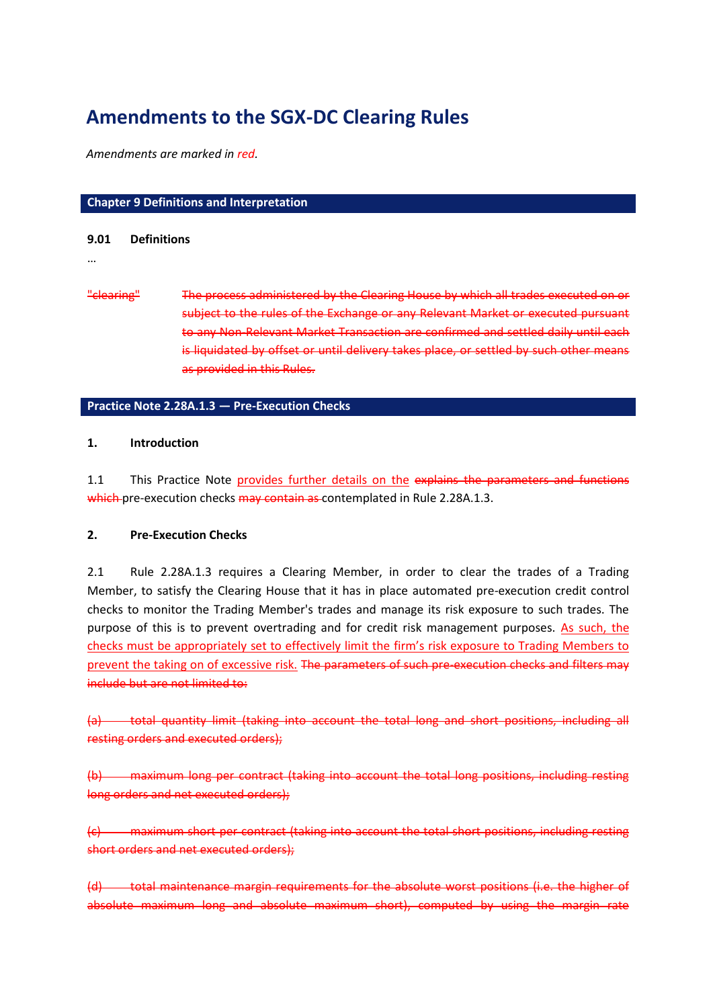# **Amendments to the SGX-DC Clearing Rules**

*Amendments are marked in red.*

# **Chapter 9 Definitions and Interpretation**

### **9.01 Definitions**

### …

"clearing" The process administered by the Clearing House by which all trades executed on or subject to the rules of the Exchange or any Relevant Market or executed pursuant to any Non-Relevant Market Transaction are confirmed and settled daily until each is liquidated by offset or until delivery takes place, or settled by such other means as provided in this Rules.

# **Practice Note 2.28A.1.3 — Pre-Execution Checks**

## **1. Introduction**

1.1 This Practice Note provides further details on the explains the parameters and functions which pre-execution checks may contain as contemplated in Rule 2.28A.1.3.

## **2. Pre-Execution Checks**

2.1 Rule 2.28A.1.3 requires a Clearing Member, in order to clear the trades of a Trading Member, to satisfy the Clearing House that it has in place automated pre-execution credit control checks to monitor the Trading Member's trades and manage its risk exposure to such trades. The purpose of this is to prevent overtrading and for credit risk management purposes. As such, the checks must be appropriately set to effectively limit the firm's risk exposure to Trading Members to prevent the taking on of excessive risk. The parameters of such pre-execution checks and filters may include but are not limited to:

(a) total quantity limit (taking into account the total long and short positions, including all resting orders and executed orders);

(b) maximum long per contract (taking into account the total long positions, including resting long orders and net executed orders);

(c) maximum short per contract (taking into account the total short positions, including resting short orders and net executed orders);

(d) total maintenance margin requirements for the absolute worst positions (i.e. the higher of absolute maximum long and absolute maximum short), computed by using the margin rate